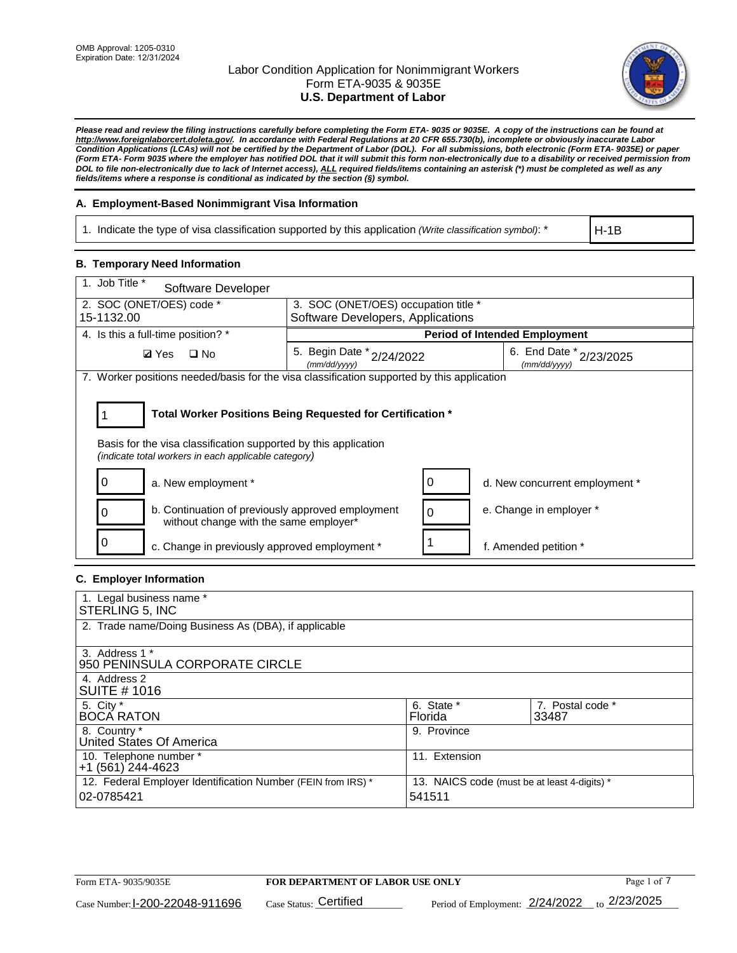

*Please read and review the filing instructions carefully before completing the Form ETA- 9035 or 9035E. A copy of the instructions can be found at http://www.foreignlaborcert.doleta.gov/. In accordance with Federal Regulations at 20 CFR 655.730(b), incomplete or obviously inaccurate Labor Condition Applications (LCAs) will not be certified by the Department of Labor (DOL). For all submissions, both electronic (Form ETA- 9035E) or paper (Form ETA- Form 9035 where the employer has notified DOL that it will submit this form non-electronically due to a disability or received permission from DOL to file non-electronically due to lack of Internet access), ALL required fields/items containing an asterisk (\*) must be completed as well as any fields/items where a response is conditional as indicated by the section (§) symbol.* 

## **A. Employment-Based Nonimmigrant Visa Information**

1. Indicate the type of visa classification supported by this application *(Write classification symbol)*: \*

H-1B

### **B. Temporary Need Information**

| 1. Job Title *<br>Software Developer                                                                                                                                                  |                                               |                                         |  |  |  |
|---------------------------------------------------------------------------------------------------------------------------------------------------------------------------------------|-----------------------------------------------|-----------------------------------------|--|--|--|
| 2. SOC (ONET/OES) code *                                                                                                                                                              | 3. SOC (ONET/OES) occupation title *          |                                         |  |  |  |
| 15-1132.00                                                                                                                                                                            | Software Developers, Applications             |                                         |  |  |  |
| 4. Is this a full-time position? *                                                                                                                                                    |                                               | <b>Period of Intended Employment</b>    |  |  |  |
| $\Box$ No<br><b>Ø</b> Yes                                                                                                                                                             | 5. Begin Date $x_{2/24/2022}$<br>(mm/dd/vvvv) | 6. End Date * 2/23/2025<br>(mm/dd/yyyy) |  |  |  |
| 7. Worker positions needed/basis for the visa classification supported by this application                                                                                            |                                               |                                         |  |  |  |
| Total Worker Positions Being Requested for Certification *<br>Basis for the visa classification supported by this application<br>(indicate total workers in each applicable category) |                                               |                                         |  |  |  |
| a. New employment *                                                                                                                                                                   |                                               | 0<br>d. New concurrent employment *     |  |  |  |
| b. Continuation of previously approved employment<br>0<br>without change with the same employer*                                                                                      |                                               | e. Change in employer *<br>$\Omega$     |  |  |  |
| c. Change in previously approved employment *                                                                                                                                         |                                               | f. Amended petition *                   |  |  |  |

## **C. Employer Information**

| 1. Legal business name *                                     |                                              |                  |
|--------------------------------------------------------------|----------------------------------------------|------------------|
| STERLING 5, INC                                              |                                              |                  |
| 2. Trade name/Doing Business As (DBA), if applicable         |                                              |                  |
|                                                              |                                              |                  |
| 3. Address 1 *                                               |                                              |                  |
| 950 PENINSULA CORPORATE CIRCLE                               |                                              |                  |
| 4. Address 2                                                 |                                              |                  |
| <b>SUITE #1016</b>                                           |                                              |                  |
| 5. City *                                                    | 6. State *                                   | 7. Postal code * |
| <b>BOCA RATON</b>                                            | Florida                                      | 33487            |
| 8. Country *                                                 | 9. Province                                  |                  |
| United States Of America                                     |                                              |                  |
| 10. Telephone number *                                       | 11. Extension                                |                  |
| +1 (561) 244-4623                                            |                                              |                  |
| 12. Federal Employer Identification Number (FEIN from IRS) * | 13. NAICS code (must be at least 4-digits) * |                  |
| 02-0785421                                                   | 541511                                       |                  |
|                                                              |                                              |                  |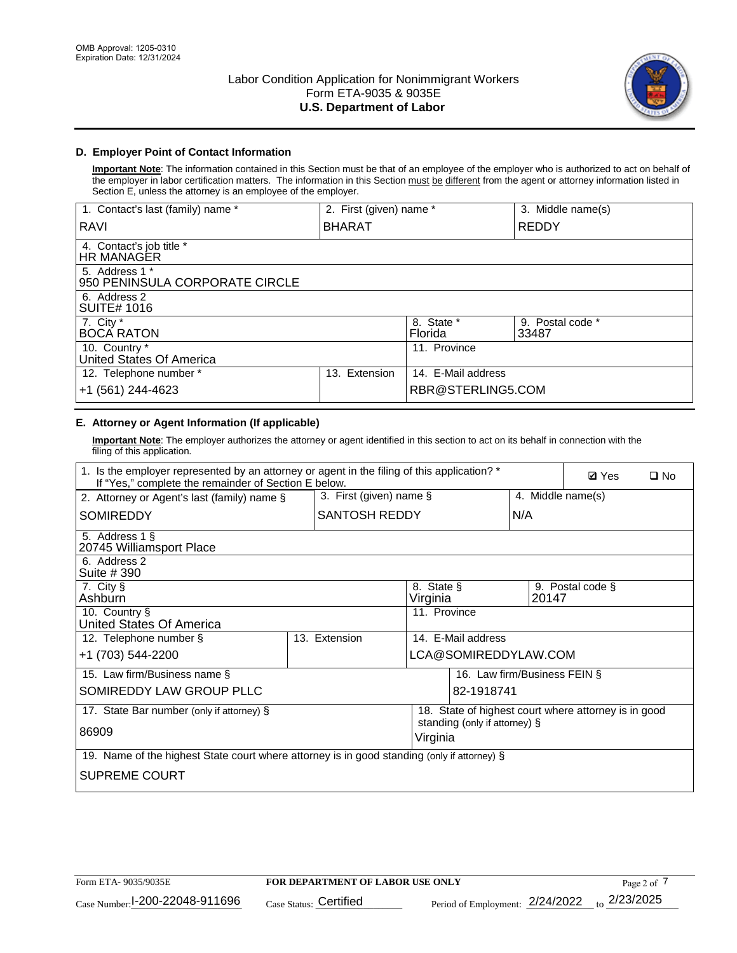

## **D. Employer Point of Contact Information**

**Important Note**: The information contained in this Section must be that of an employee of the employer who is authorized to act on behalf of the employer in labor certification matters. The information in this Section must be different from the agent or attorney information listed in Section E, unless the attorney is an employee of the employer.

| 1. Contact's last (family) name *                | 2. First (given) name * |                       | 3. Middle name(s)         |
|--------------------------------------------------|-------------------------|-----------------------|---------------------------|
| RAVI                                             | <b>BHARAT</b>           |                       | <b>REDDY</b>              |
| 4. Contact's job title *<br>HR MANAGER           |                         |                       |                           |
| 5. Address 1 *<br>950 PENINSULA CORPORATE CIRCLE |                         |                       |                           |
| 6. Address 2<br><b>SUITE# 1016</b>               |                         |                       |                           |
| 7. City $*$<br><b>BOCA RATON</b>                 |                         | 8. State *<br>Florida | 9. Postal code *<br>33487 |
| 10. Country *<br>United States Of America        |                         | 11. Province          |                           |
| 12. Telephone number *                           | Extension<br>13.        | 14. E-Mail address    |                           |
| +1 (561) 244-4623                                |                         | RBR@STERLING5.COM     |                           |

## **E. Attorney or Agent Information (If applicable)**

**Important Note**: The employer authorizes the attorney or agent identified in this section to act on its behalf in connection with the filing of this application.

| 1. Is the employer represented by an attorney or agent in the filing of this application? *<br>If "Yes," complete the remainder of Section E below. | <b>Ø</b> Yes<br>$\square$ No |                         |                               |                                                      |
|-----------------------------------------------------------------------------------------------------------------------------------------------------|------------------------------|-------------------------|-------------------------------|------------------------------------------------------|
| 2. Attorney or Agent's last (family) name §                                                                                                         |                              | 3. First (given) name § |                               | 4. Middle name(s)                                    |
| SOMIREDDY                                                                                                                                           | <b>SANTOSH REDDY</b>         |                         | N/A                           |                                                      |
| 5. Address 1 §<br>20745 Williamsport Place                                                                                                          |                              |                         |                               |                                                      |
| 6. Address 2<br>Suite # 390                                                                                                                         |                              |                         |                               |                                                      |
| 7. City §<br>Ashburn                                                                                                                                |                              | 8. State §<br>Virginia  | 20147                         | 9. Postal code §                                     |
| 10. Country §<br><b>United States Of America</b>                                                                                                    |                              | 11. Province            |                               |                                                      |
| 12. Telephone number §                                                                                                                              | 13. Extension                | 14. E-Mail address      |                               |                                                      |
| +1 (703) 544-2200                                                                                                                                   |                              |                         | LCA@SOMIREDDYLAW.COM          |                                                      |
| 15. Law firm/Business name §                                                                                                                        |                              |                         | 16. Law firm/Business FEIN §  |                                                      |
| SOMIREDDY LAW GROUP PLLC                                                                                                                            |                              |                         | 82-1918741                    |                                                      |
| 17. State Bar number (only if attorney) §                                                                                                           |                              |                         | standing (only if attorney) § | 18. State of highest court where attorney is in good |
| 86909                                                                                                                                               |                              | Virginia                |                               |                                                      |
| 19. Name of the highest State court where attorney is in good standing (only if attorney) §                                                         |                              |                         |                               |                                                      |
| <b>SUPREME COURT</b>                                                                                                                                |                              |                         |                               |                                                      |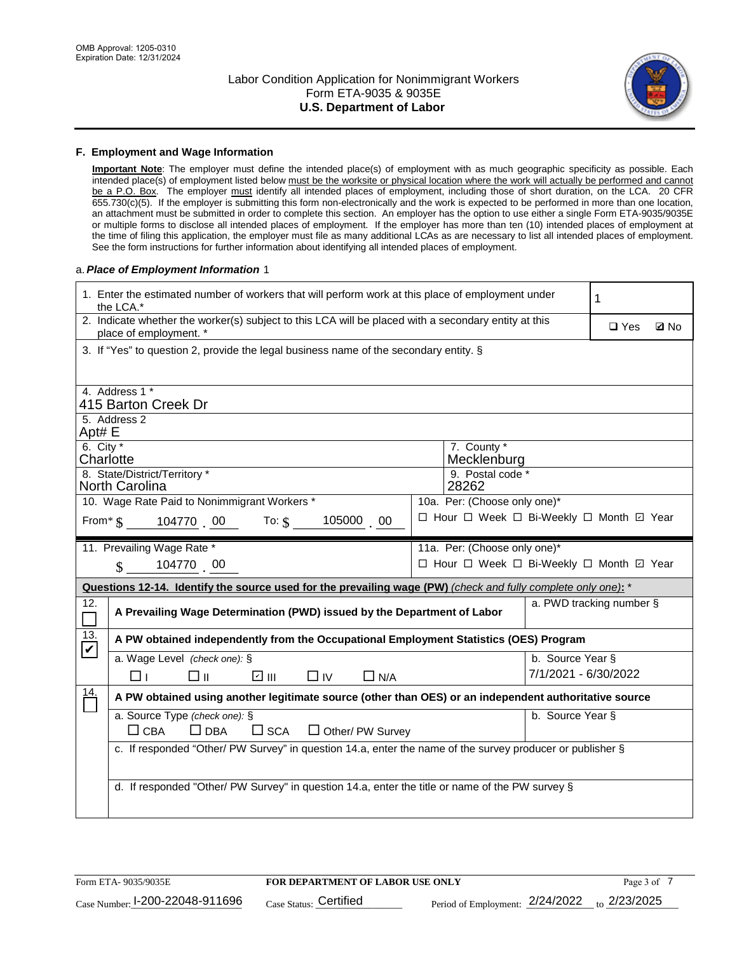

### **F. Employment and Wage Information**

**Important Note**: The employer must define the intended place(s) of employment with as much geographic specificity as possible. Each intended place(s) of employment listed below must be the worksite or physical location where the work will actually be performed and cannot be a P.O. Box. The employer must identify all intended places of employment, including those of short duration, on the LCA. 20 CFR 655.730(c)(5). If the employer is submitting this form non-electronically and the work is expected to be performed in more than one location, an attachment must be submitted in order to complete this section. An employer has the option to use either a single Form ETA-9035/9035E or multiple forms to disclose all intended places of employment. If the employer has more than ten (10) intended places of employment at the time of filing this application, the employer must file as many additional LCAs as are necessary to list all intended places of employment. See the form instructions for further information about identifying all intended places of employment.

### a.*Place of Employment Information* 1

| 1. Enter the estimated number of workers that will perform work at this place of employment under<br>1<br>the LCA.*            |                                                                                       |  |  |  |  |  |
|--------------------------------------------------------------------------------------------------------------------------------|---------------------------------------------------------------------------------------|--|--|--|--|--|
| 2. Indicate whether the worker(s) subject to this LCA will be placed with a secondary entity at this<br>place of employment. * | $\square$ Yes<br><b>Z</b> No                                                          |  |  |  |  |  |
| 3. If "Yes" to question 2, provide the legal business name of the secondary entity. §                                          |                                                                                       |  |  |  |  |  |
| 4. Address 1 *                                                                                                                 |                                                                                       |  |  |  |  |  |
| 415 Barton Creek Dr                                                                                                            |                                                                                       |  |  |  |  |  |
| 5. Address 2<br>Apt# E                                                                                                         |                                                                                       |  |  |  |  |  |
| 6. City $*$<br>Charlotte                                                                                                       | 7. County *<br>Mecklenburg                                                            |  |  |  |  |  |
| 8. State/District/Territory *<br><b>North Carolina</b>                                                                         | 9. Postal code *<br>28262                                                             |  |  |  |  |  |
| 10. Wage Rate Paid to Nonimmigrant Workers *                                                                                   | 10a. Per: (Choose only one)*                                                          |  |  |  |  |  |
| □ Hour □ Week □ Bi-Weekly □ Month □ Year<br>105000 00<br>From $\frac{1}{5}$ 104770 00 To: $\frac{1}{5}$                        |                                                                                       |  |  |  |  |  |
| 11. Prevailing Wage Rate *<br>11a. Per: (Choose only one)*                                                                     |                                                                                       |  |  |  |  |  |
| 104770 00<br>$\mathbb{S}$                                                                                                      | □ Hour □ Week □ Bi-Weekly □ Month 回 Year                                              |  |  |  |  |  |
| Questions 12-14. Identify the source used for the prevailing wage (PW) (check and fully complete only one): *                  |                                                                                       |  |  |  |  |  |
| 12.<br>A Prevailing Wage Determination (PWD) issued by the Department of Labor<br>$\Box$                                       | a. PWD tracking number §                                                              |  |  |  |  |  |
| 13.<br>$\blacktriangledown$                                                                                                    | A PW obtained independently from the Occupational Employment Statistics (OES) Program |  |  |  |  |  |
| a. Wage Level (check one): §                                                                                                   | b. Source Year §                                                                      |  |  |  |  |  |
| ☑ Ⅲ<br>□⊪<br>$\Box$ IV<br>□⊥<br>$\Box$ N/A                                                                                     | 7/1/2021 - 6/30/2022                                                                  |  |  |  |  |  |
| A PW obtained using another legitimate source (other than OES) or an independent authoritative source                          |                                                                                       |  |  |  |  |  |
| a. Source Type (check one): §<br>b. Source Year §                                                                              |                                                                                       |  |  |  |  |  |
| $\frac{14}{1}$                                                                                                                 |                                                                                       |  |  |  |  |  |
| $\Box$ CBA<br>$\Box$ DBA<br>$\square$ SCA<br>$\Box$ Other/ PW Survey                                                           |                                                                                       |  |  |  |  |  |
| c. If responded "Other/ PW Survey" in question 14.a, enter the name of the survey producer or publisher §                      |                                                                                       |  |  |  |  |  |
| d. If responded "Other/ PW Survey" in question 14.a, enter the title or name of the PW survey §                                |                                                                                       |  |  |  |  |  |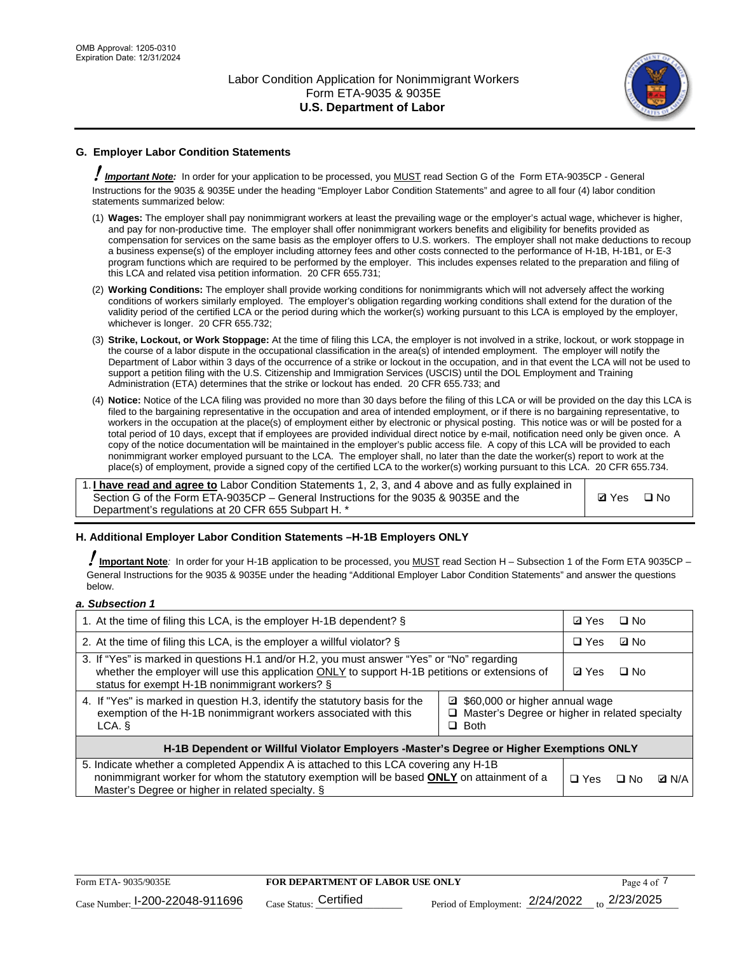

## **G. Employer Labor Condition Statements**

! *Important Note:* In order for your application to be processed, you MUST read Section G of the Form ETA-9035CP - General Instructions for the 9035 & 9035E under the heading "Employer Labor Condition Statements" and agree to all four (4) labor condition statements summarized below:

- (1) **Wages:** The employer shall pay nonimmigrant workers at least the prevailing wage or the employer's actual wage, whichever is higher, and pay for non-productive time. The employer shall offer nonimmigrant workers benefits and eligibility for benefits provided as compensation for services on the same basis as the employer offers to U.S. workers. The employer shall not make deductions to recoup a business expense(s) of the employer including attorney fees and other costs connected to the performance of H-1B, H-1B1, or E-3 program functions which are required to be performed by the employer. This includes expenses related to the preparation and filing of this LCA and related visa petition information. 20 CFR 655.731;
- (2) **Working Conditions:** The employer shall provide working conditions for nonimmigrants which will not adversely affect the working conditions of workers similarly employed. The employer's obligation regarding working conditions shall extend for the duration of the validity period of the certified LCA or the period during which the worker(s) working pursuant to this LCA is employed by the employer, whichever is longer. 20 CFR 655.732;
- (3) **Strike, Lockout, or Work Stoppage:** At the time of filing this LCA, the employer is not involved in a strike, lockout, or work stoppage in the course of a labor dispute in the occupational classification in the area(s) of intended employment. The employer will notify the Department of Labor within 3 days of the occurrence of a strike or lockout in the occupation, and in that event the LCA will not be used to support a petition filing with the U.S. Citizenship and Immigration Services (USCIS) until the DOL Employment and Training Administration (ETA) determines that the strike or lockout has ended. 20 CFR 655.733; and
- (4) **Notice:** Notice of the LCA filing was provided no more than 30 days before the filing of this LCA or will be provided on the day this LCA is filed to the bargaining representative in the occupation and area of intended employment, or if there is no bargaining representative, to workers in the occupation at the place(s) of employment either by electronic or physical posting. This notice was or will be posted for a total period of 10 days, except that if employees are provided individual direct notice by e-mail, notification need only be given once. A copy of the notice documentation will be maintained in the employer's public access file. A copy of this LCA will be provided to each nonimmigrant worker employed pursuant to the LCA. The employer shall, no later than the date the worker(s) report to work at the place(s) of employment, provide a signed copy of the certified LCA to the worker(s) working pursuant to this LCA. 20 CFR 655.734.

1. **I have read and agree to** Labor Condition Statements 1, 2, 3, and 4 above and as fully explained in Section G of the Form ETA-9035CP – General Instructions for the 9035 & 9035E and the Department's regulations at 20 CFR 655 Subpart H. \*

**Ø**Yes ロNo

### **H. Additional Employer Labor Condition Statements –H-1B Employers ONLY**

!**Important Note***:* In order for your H-1B application to be processed, you MUST read Section H – Subsection 1 of the Form ETA 9035CP – General Instructions for the 9035 & 9035E under the heading "Additional Employer Labor Condition Statements" and answer the questions below.

#### *a. Subsection 1*

| 1. At the time of filing this LCA, is the employer H-1B dependent? §                                                                                                                                                                                          |  |  | $\square$ No |              |
|---------------------------------------------------------------------------------------------------------------------------------------------------------------------------------------------------------------------------------------------------------------|--|--|--------------|--------------|
| 2. At the time of filing this LCA, is the employer a willful violator? $\S$                                                                                                                                                                                   |  |  | ⊡ No         |              |
| 3. If "Yes" is marked in questions H.1 and/or H.2, you must answer "Yes" or "No" regarding<br>whether the employer will use this application ONLY to support H-1B petitions or extensions of<br>status for exempt H-1B nonimmigrant workers? §                |  |  | $\Box$ No    |              |
| 4. If "Yes" is marked in question H.3, identify the statutory basis for the<br>■ \$60,000 or higher annual wage<br>exemption of the H-1B nonimmigrant workers associated with this<br>□ Master's Degree or higher in related specialty<br>$\Box$ Both<br>LCA. |  |  |              |              |
| H-1B Dependent or Willful Violator Employers -Master's Degree or Higher Exemptions ONLY                                                                                                                                                                       |  |  |              |              |
| 5. Indicate whether a completed Appendix A is attached to this LCA covering any H-1B<br>nonimmigrant worker for whom the statutory exemption will be based <b>ONLY</b> on attainment of a<br>Master's Degree or higher in related specialty. §                |  |  | ⊡ No         | <b>Q</b> N/A |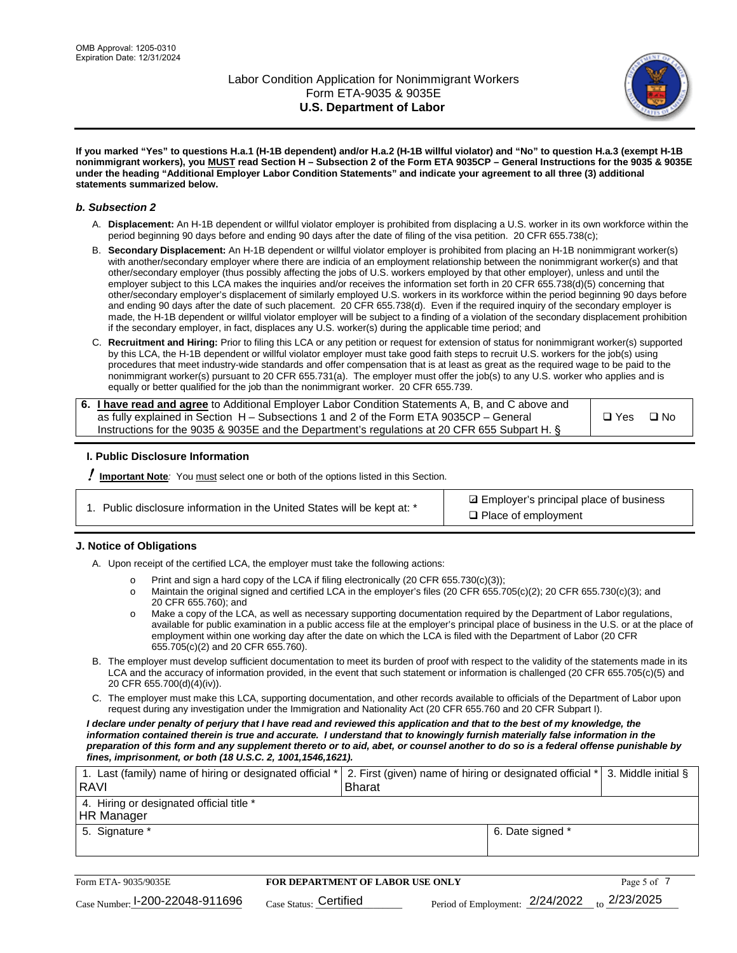

**If you marked "Yes" to questions H.a.1 (H-1B dependent) and/or H.a.2 (H-1B willful violator) and "No" to question H.a.3 (exempt H-1B nonimmigrant workers), you MUST read Section H – Subsection 2 of the Form ETA 9035CP – General Instructions for the 9035 & 9035E under the heading "Additional Employer Labor Condition Statements" and indicate your agreement to all three (3) additional statements summarized below.**

### *b. Subsection 2*

- A. **Displacement:** An H-1B dependent or willful violator employer is prohibited from displacing a U.S. worker in its own workforce within the period beginning 90 days before and ending 90 days after the date of filing of the visa petition. 20 CFR 655.738(c);
- B. **Secondary Displacement:** An H-1B dependent or willful violator employer is prohibited from placing an H-1B nonimmigrant worker(s) with another/secondary employer where there are indicia of an employment relationship between the nonimmigrant worker(s) and that other/secondary employer (thus possibly affecting the jobs of U.S. workers employed by that other employer), unless and until the employer subject to this LCA makes the inquiries and/or receives the information set forth in 20 CFR 655.738(d)(5) concerning that other/secondary employer's displacement of similarly employed U.S. workers in its workforce within the period beginning 90 days before and ending 90 days after the date of such placement. 20 CFR 655.738(d). Even if the required inquiry of the secondary employer is made, the H-1B dependent or willful violator employer will be subject to a finding of a violation of the secondary displacement prohibition if the secondary employer, in fact, displaces any U.S. worker(s) during the applicable time period; and
- C. **Recruitment and Hiring:** Prior to filing this LCA or any petition or request for extension of status for nonimmigrant worker(s) supported by this LCA, the H-1B dependent or willful violator employer must take good faith steps to recruit U.S. workers for the job(s) using procedures that meet industry-wide standards and offer compensation that is at least as great as the required wage to be paid to the nonimmigrant worker(s) pursuant to 20 CFR 655.731(a). The employer must offer the job(s) to any U.S. worker who applies and is equally or better qualified for the job than the nonimmigrant worker. 20 CFR 655.739.

| 6. I have read and agree to Additional Employer Labor Condition Statements A, B, and C above and |       |           |
|--------------------------------------------------------------------------------------------------|-------|-----------|
| as fully explained in Section H – Subsections 1 and 2 of the Form ETA 9035CP – General           | □ Yes | $\Box$ No |
| Instructions for the 9035 & 9035E and the Department's regulations at 20 CFR 655 Subpart H. §    |       |           |

### **I. Public Disclosure Information**

! **Important Note***:* You must select one or both of the options listed in this Section.

| 1. Public disclosure information in the United States will be kept at: * |  |  |  |  |  |  |
|--------------------------------------------------------------------------|--|--|--|--|--|--|
|--------------------------------------------------------------------------|--|--|--|--|--|--|

**sqrt** Employer's principal place of business □ Place of employment

### **J. Notice of Obligations**

A. Upon receipt of the certified LCA, the employer must take the following actions:

- o Print and sign a hard copy of the LCA if filing electronically (20 CFR 655.730(c)(3));<br>
Maintain the original signed and certified LCA in the employer's files (20 CFR 655.7
- Maintain the original signed and certified LCA in the employer's files (20 CFR 655.705(c)(2); 20 CFR 655.730(c)(3); and 20 CFR 655.760); and
- o Make a copy of the LCA, as well as necessary supporting documentation required by the Department of Labor regulations, available for public examination in a public access file at the employer's principal place of business in the U.S. or at the place of employment within one working day after the date on which the LCA is filed with the Department of Labor (20 CFR 655.705(c)(2) and 20 CFR 655.760).
- B. The employer must develop sufficient documentation to meet its burden of proof with respect to the validity of the statements made in its LCA and the accuracy of information provided, in the event that such statement or information is challenged (20 CFR 655.705(c)(5) and 20 CFR 655.700(d)(4)(iv)).
- C. The employer must make this LCA, supporting documentation, and other records available to officials of the Department of Labor upon request during any investigation under the Immigration and Nationality Act (20 CFR 655.760 and 20 CFR Subpart I).

*I declare under penalty of perjury that I have read and reviewed this application and that to the best of my knowledge, the*  information contained therein is true and accurate. I understand that to knowingly furnish materially false information in the *preparation of this form and any supplement thereto or to aid, abet, or counsel another to do so is a federal offense punishable by fines, imprisonment, or both (18 U.S.C. 2, 1001,1546,1621).*

| 1. Last (family) name of hiring or designated official *<br><b>RAVI</b> | 2. First (given) name of hiring or designated official * 3. Middle initial §<br><b>Bharat</b> |                  |  |
|-------------------------------------------------------------------------|-----------------------------------------------------------------------------------------------|------------------|--|
| 4. Hiring or designated official title *<br>HR Manager                  |                                                                                               |                  |  |
| 5. Signature *                                                          |                                                                                               | 6. Date signed * |  |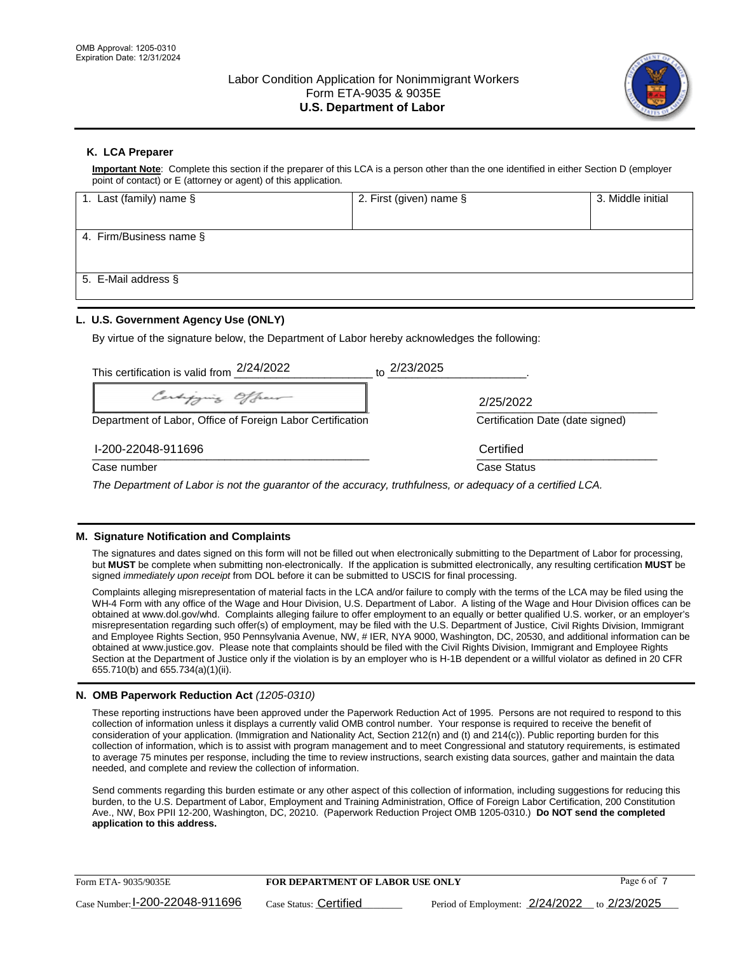

## **K. LCA Preparer**

**Important Note**: Complete this section if the preparer of this LCA is a person other than the one identified in either Section D (employer point of contact) or E (attorney or agent) of this application.

| 1. Last (family) name $\S$ | 2. First (given) name § | 3. Middle initial |
|----------------------------|-------------------------|-------------------|
|                            |                         |                   |
| 4. Firm/Business name $\S$ |                         |                   |
|                            |                         |                   |
| 5. E-Mail address §        |                         |                   |
|                            |                         |                   |

## **L. U.S. Government Agency Use (ONLY)**

By virtue of the signature below, the Department of Labor hereby acknowledges the following:

| This certification is valid from 2/24/2022                                                                  | $\frac{10}{10}$ 2/23/2025        |
|-------------------------------------------------------------------------------------------------------------|----------------------------------|
| Certifying Officer                                                                                          | 2/25/2022                        |
| Department of Labor, Office of Foreign Labor Certification                                                  | Certification Date (date signed) |
| I-200-22048-911696                                                                                          | Certified                        |
| Case number                                                                                                 | Case Status                      |
| The Department of Labor is not the guarantor of the accuracy, truthfulness, or adequacy of a certified LCA. |                                  |

### **M. Signature Notification and Complaints**

The signatures and dates signed on this form will not be filled out when electronically submitting to the Department of Labor for processing, but **MUST** be complete when submitting non-electronically. If the application is submitted electronically, any resulting certification **MUST** be signed *immediately upon receipt* from DOL before it can be submitted to USCIS for final processing.

Complaints alleging misrepresentation of material facts in the LCA and/or failure to comply with the terms of the LCA may be filed using the WH-4 Form with any office of the Wage and Hour Division, U.S. Department of Labor. A listing of the Wage and Hour Division offices can be obtained at www.dol.gov/whd. Complaints alleging failure to offer employment to an equally or better qualified U.S. worker, or an employer's misrepresentation regarding such offer(s) of employment, may be filed with the U.S. Department of Justice, Civil Rights Division, Immigrant and Employee Rights Section, 950 Pennsylvania Avenue, NW, # IER, NYA 9000, Washington, DC, 20530, and additional information can be obtained at www.justice.gov. Please note that complaints should be filed with the Civil Rights Division, Immigrant and Employee Rights Section at the Department of Justice only if the violation is by an employer who is H-1B dependent or a willful violator as defined in 20 CFR 655.710(b) and 655.734(a)(1)(ii).

### **N. OMB Paperwork Reduction Act** *(1205-0310)*

These reporting instructions have been approved under the Paperwork Reduction Act of 1995. Persons are not required to respond to this collection of information unless it displays a currently valid OMB control number. Your response is required to receive the benefit of consideration of your application. (Immigration and Nationality Act, Section 212(n) and (t) and 214(c)). Public reporting burden for this collection of information, which is to assist with program management and to meet Congressional and statutory requirements, is estimated to average 75 minutes per response, including the time to review instructions, search existing data sources, gather and maintain the data needed, and complete and review the collection of information.

Send comments regarding this burden estimate or any other aspect of this collection of information, including suggestions for reducing this burden, to the U.S. Department of Labor, Employment and Training Administration, Office of Foreign Labor Certification, 200 Constitution Ave., NW, Box PPII 12-200, Washington, DC, 20210. (Paperwork Reduction Project OMB 1205-0310.) **Do NOT send the completed application to this address.**

| Form ETA-9035/9035E             | <b>FOR DEPARTMENT OF LABOR USE ONLY</b> |                                              | Page 6 of 7 |
|---------------------------------|-----------------------------------------|----------------------------------------------|-------------|
| Case Number: 1-200-22048-911696 | Case Status: Certified                  | Period of Employment: 2/24/2022 to 2/23/2025 |             |